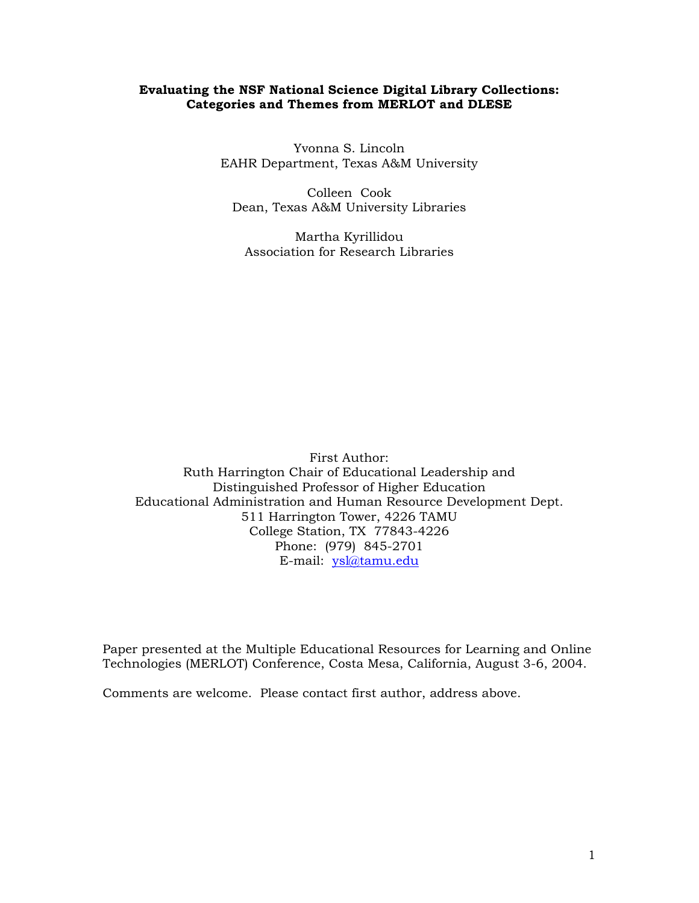## **Evaluating the NSF National Science Digital Library Collections: Categories and Themes from MERLOT and DLESE**

Yvonna S. Lincoln EAHR Department, Texas A&M University

Colleen Cook Dean, Texas A&M University Libraries

Martha Kyrillidou Association for Research Libraries

First Author: Ruth Harrington Chair of Educational Leadership and Distinguished Professor of Higher Education Educational Administration and Human Resource Development Dept. 511 Harrington Tower, 4226 TAMU College Station, TX 77843-4226 Phone: (979) 845-2701 E-mail: ysl@tamu.edu

Paper presented at the Multiple Educational Resources for Learning and Online Technologies (MERLOT) Conference, Costa Mesa, California, August 3-6, 2004.

Comments are welcome. Please contact first author, address above.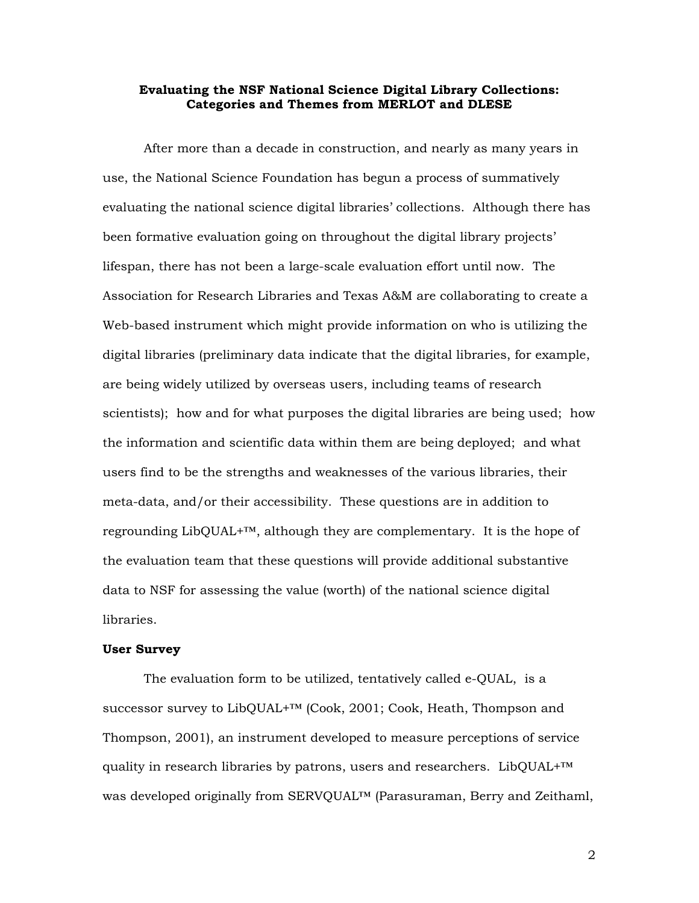## **Evaluating the NSF National Science Digital Library Collections: Categories and Themes from MERLOT and DLESE**

After more than a decade in construction, and nearly as many years in use, the National Science Foundation has begun a process of summatively evaluating the national science digital libraries' collections. Although there has been formative evaluation going on throughout the digital library projects' lifespan, there has not been a large-scale evaluation effort until now. The Association for Research Libraries and Texas A&M are collaborating to create a Web-based instrument which might provide information on who is utilizing the digital libraries (preliminary data indicate that the digital libraries, for example, are being widely utilized by overseas users, including teams of research scientists); how and for what purposes the digital libraries are being used; how the information and scientific data within them are being deployed; and what users find to be the strengths and weaknesses of the various libraries, their meta-data, and/or their accessibility. These questions are in addition to regrounding LibQUAL $+^{TM}$ , although they are complementary. It is the hope of the evaluation team that these questions will provide additional substantive data to NSF for assessing the value (worth) of the national science digital libraries.

#### **User Survey**

The evaluation form to be utilized, tentatively called e-QUAL, is a successor survey to LibQUAL+<sup>™</sup> (Cook, 2001; Cook, Heath, Thompson and Thompson, 2001), an instrument developed to measure perceptions of service quality in research libraries by patrons, users and researchers. LibQUAL+<sup>™</sup> was developed originally from SERVQUAL™ (Parasuraman, Berry and Zeithaml,

2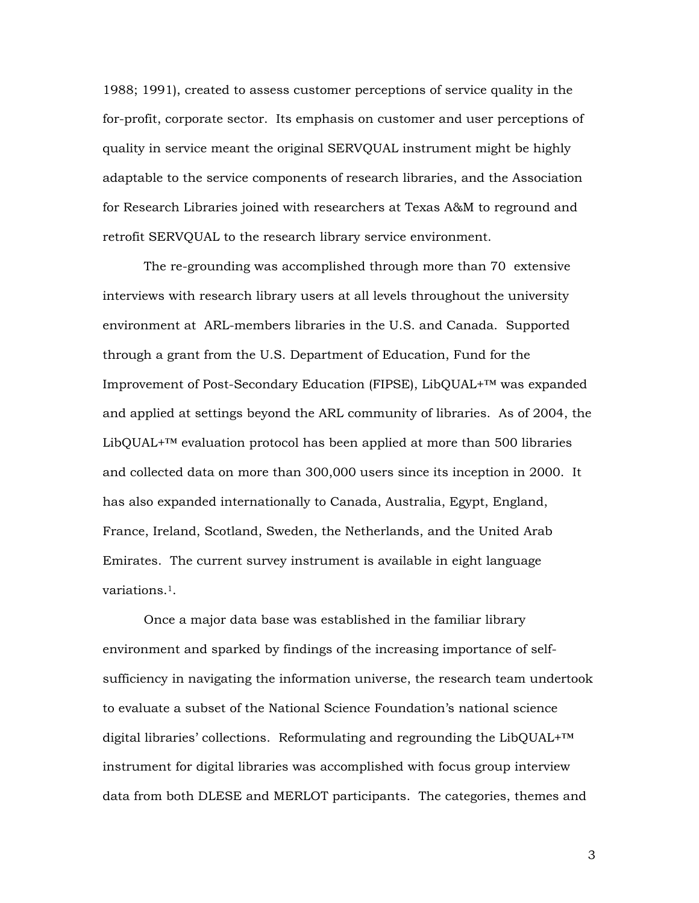1988; 1991), created to assess customer perceptions of service quality in the for-profit, corporate sector. Its emphasis on customer and user perceptions of quality in service meant the original SERVQUAL instrument might be highly adaptable to the service components of research libraries, and the Association for Research Libraries joined with researchers at Texas A&M to reground and retrofit SERVQUAL to the research library service environment.

The re-grounding was accomplished through more than 70 extensive interviews with research library users at all levels throughout the university environment at ARL-members libraries in the U.S. and Canada. Supported through a grant from the U.S. Department of Education, Fund for the Improvement of Post-Secondary Education (FIPSE), LibQUAL+™ was expanded and applied at settings beyond the ARL community of libraries. As of 2004, the  $LibQUAL+<sup>TM</sup>$  evaluation protocol has been applied at more than 500 libraries and collected data on more than 300,000 users since its inception in 2000. It has also expanded internationally to Canada, Australia, Egypt, England, France, Ireland, Scotland, Sweden, the Netherlands, and the United Arab Emirates. The current survey instrument is available in eight language variations.1.

Once a major data base was established in the familiar library environment and sparked by findings of the increasing importance of selfsufficiency in navigating the information universe, the research team undertook to evaluate a subset of the National Science Foundation's national science digital libraries' collections. Reformulating and regrounding the LibQUAL+™ instrument for digital libraries was accomplished with focus group interview data from both DLESE and MERLOT participants. The categories, themes and

3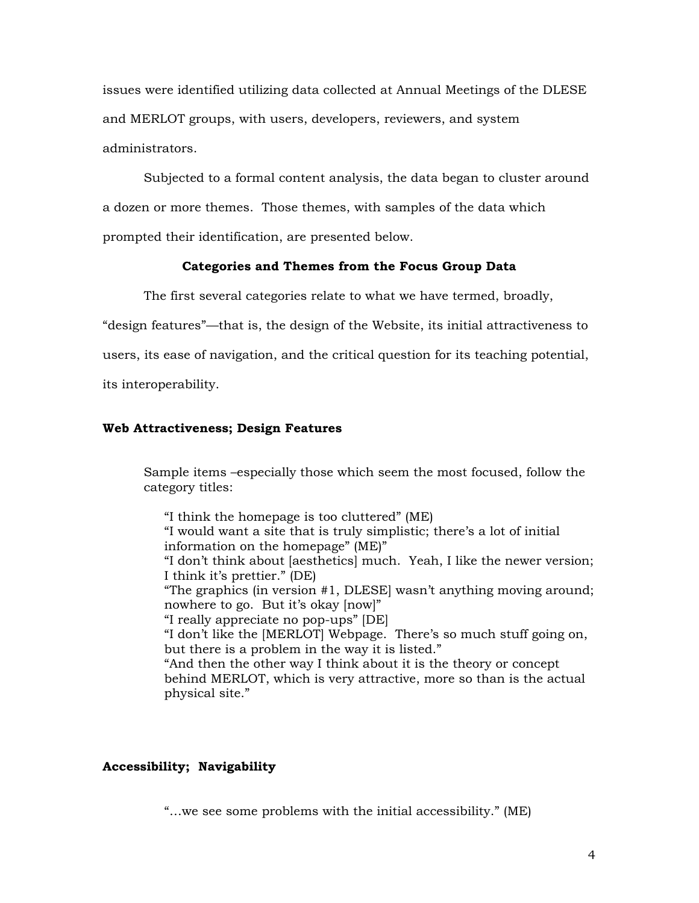issues were identified utilizing data collected at Annual Meetings of the DLESE and MERLOT groups, with users, developers, reviewers, and system administrators.

Subjected to a formal content analysis, the data began to cluster around a dozen or more themes. Those themes, with samples of the data which prompted their identification, are presented below.

## **Categories and Themes from the Focus Group Data**

The first several categories relate to what we have termed, broadly,

"design features"—that is, the design of the Website, its initial attractiveness to

users, its ease of navigation, and the critical question for its teaching potential,

its interoperability.

## **Web Attractiveness; Design Features**

Sample items –especially those which seem the most focused, follow the category titles:

"I think the homepage is too cluttered" (ME) "I would want a site that is truly simplistic; there's a lot of initial information on the homepage" (ME)" "I don't think about [aesthetics] much. Yeah, I like the newer version; I think it's prettier." (DE) "The graphics (in version #1, DLESE] wasn't anything moving around; nowhere to go. But it's okay [now]" "I really appreciate no pop-ups" [DE] "I don't like the [MERLOT] Webpage. There's so much stuff going on, but there is a problem in the way it is listed." "And then the other way I think about it is the theory or concept behind MERLOT, which is very attractive, more so than is the actual physical site."

# **Accessibility; Navigability**

"…we see some problems with the initial accessibility." (ME)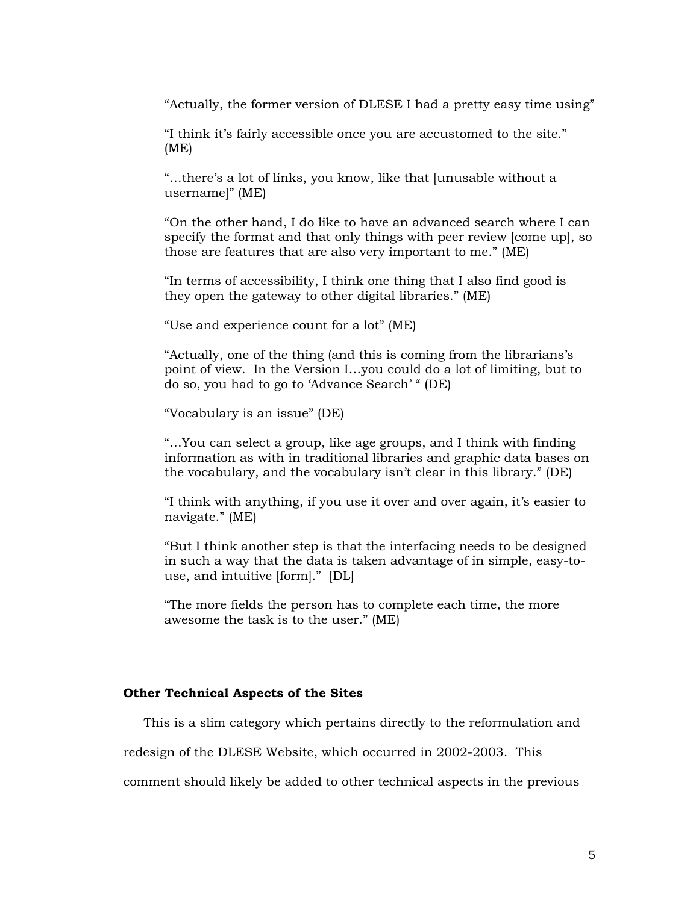"Actually, the former version of DLESE I had a pretty easy time using"

"I think it's fairly accessible once you are accustomed to the site." (ME)

"…there's a lot of links, you know, like that [unusable without a username]" (ME)

"On the other hand, I do like to have an advanced search where I can specify the format and that only things with peer review [come up], so those are features that are also very important to me." (ME)

"In terms of accessibility, I think one thing that I also find good is they open the gateway to other digital libraries." (ME)

"Use and experience count for a lot" (ME)

"Actually, one of the thing (and this is coming from the librarians's point of view. In the Version I…you could do a lot of limiting, but to do so, you had to go to 'Advance Search' " (DE)

"Vocabulary is an issue" (DE)

"…You can select a group, like age groups, and I think with finding information as with in traditional libraries and graphic data bases on the vocabulary, and the vocabulary isn't clear in this library." (DE)

"I think with anything, if you use it over and over again, it's easier to navigate." (ME)

"But I think another step is that the interfacing needs to be designed in such a way that the data is taken advantage of in simple, easy-touse, and intuitive [form]." [DL]

"The more fields the person has to complete each time, the more awesome the task is to the user." (ME)

#### **Other Technical Aspects of the Sites**

This is a slim category which pertains directly to the reformulation and

redesign of the DLESE Website, which occurred in 2002-2003. This

comment should likely be added to other technical aspects in the previous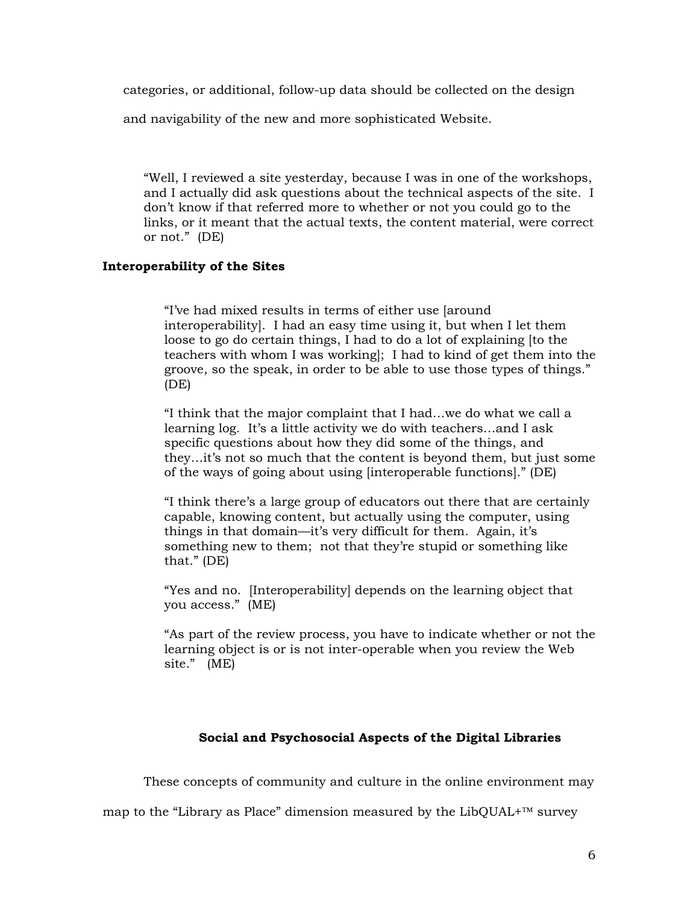categories, or additional, follow-up data should be collected on the design

and navigability of the new and more sophisticated Website.

"Well, I reviewed a site yesterday, because I was in one of the workshops, and I actually did ask questions about the technical aspects of the site. I don't know if that referred more to whether or not you could go to the links, or it meant that the actual texts, the content material, were correct or not." (DE)

## **Interoperability of the Sites**

"I've had mixed results in terms of either use [around interoperability]. I had an easy time using it, but when I let them loose to go do certain things, I had to do a lot of explaining [to the teachers with whom I was working]; I had to kind of get them into the groove, so the speak, in order to be able to use those types of things." (DE)

"I think that the major complaint that I had…we do what we call a learning log. It's a little activity we do with teachers…and I ask specific questions about how they did some of the things, and they…it's not so much that the content is beyond them, but just some of the ways of going about using [interoperable functions]." (DE)

"I think there's a large group of educators out there that are certainly capable, knowing content, but actually using the computer, using things in that domain—it's very difficult for them. Again, it's something new to them; not that they're stupid or something like that." (DE)

"Yes and no. [Interoperability] depends on the learning object that you access." (ME)

"As part of the review process, you have to indicate whether or not the learning object is or is not inter-operable when you review the Web site." (ME)

## **Social and Psychosocial Aspects of the Digital Libraries**

These concepts of community and culture in the online environment may

map to the "Library as Place" dimension measured by the LibOUAL $+^{TM}$  survey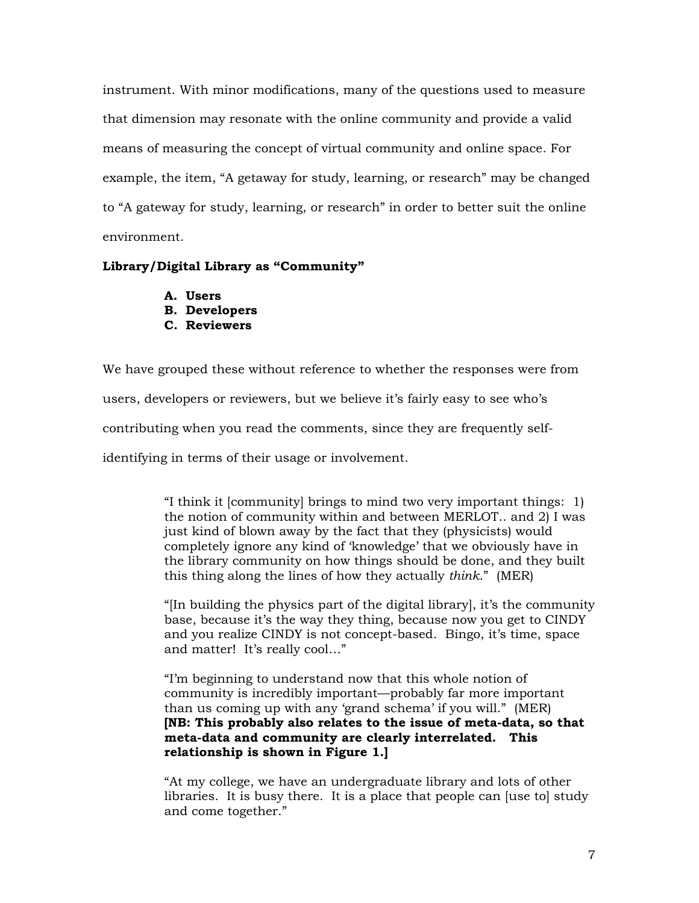instrument. With minor modifications, many of the questions used to measure that dimension may resonate with the online community and provide a valid means of measuring the concept of virtual community and online space. For example, the item, "A getaway for study, learning, or research" may be changed to "A gateway for study, learning, or research" in order to better suit the online environment.

# **Library/Digital Library as "Community"**

**A. Users B. Developers** 

**C. Reviewers** 

We have grouped these without reference to whether the responses were from users, developers or reviewers, but we believe it's fairly easy to see who's contributing when you read the comments, since they are frequently selfidentifying in terms of their usage or involvement.

> "I think it [community] brings to mind two very important things: 1) the notion of community within and between MERLOT.. and 2) I was just kind of blown away by the fact that they (physicists) would completely ignore any kind of 'knowledge' that we obviously have in the library community on how things should be done, and they built this thing along the lines of how they actually *think*." (MER)

"[In building the physics part of the digital library], it's the community base, because it's the way they thing, because now you get to CINDY and you realize CINDY is not concept-based. Bingo, it's time, space and matter! It's really cool…"

"I'm beginning to understand now that this whole notion of community is incredibly important—probably far more important than us coming up with any 'grand schema' if you will." (MER) **[NB: This probably also relates to the issue of meta-data, so that meta-data and community are clearly interrelated. This relationship is shown in Figure 1.]** 

"At my college, we have an undergraduate library and lots of other libraries. It is busy there. It is a place that people can [use to] study and come together."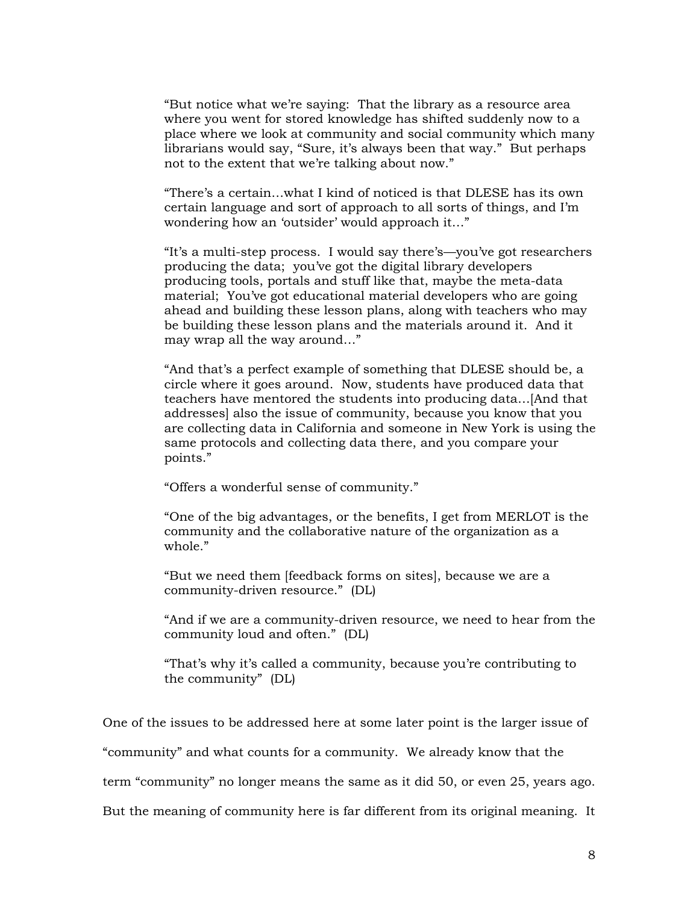"But notice what we're saying: That the library as a resource area where you went for stored knowledge has shifted suddenly now to a place where we look at community and social community which many librarians would say, "Sure, it's always been that way." But perhaps not to the extent that we're talking about now."

"There's a certain…what I kind of noticed is that DLESE has its own certain language and sort of approach to all sorts of things, and I'm wondering how an 'outsider' would approach it…"

"It's a multi-step process. I would say there's—you've got researchers producing the data; you've got the digital library developers producing tools, portals and stuff like that, maybe the meta-data material; You've got educational material developers who are going ahead and building these lesson plans, along with teachers who may be building these lesson plans and the materials around it. And it may wrap all the way around…"

"And that's a perfect example of something that DLESE should be, a circle where it goes around. Now, students have produced data that teachers have mentored the students into producing data…[And that addresses] also the issue of community, because you know that you are collecting data in California and someone in New York is using the same protocols and collecting data there, and you compare your points."

"Offers a wonderful sense of community."

"One of the big advantages, or the benefits, I get from MERLOT is the community and the collaborative nature of the organization as a whole."

"But we need them [feedback forms on sites], because we are a community-driven resource." (DL)

"And if we are a community-driven resource, we need to hear from the community loud and often." (DL)

"That's why it's called a community, because you're contributing to the community" (DL)

One of the issues to be addressed here at some later point is the larger issue of "community" and what counts for a community. We already know that the term "community" no longer means the same as it did 50, or even 25, years ago. But the meaning of community here is far different from its original meaning. It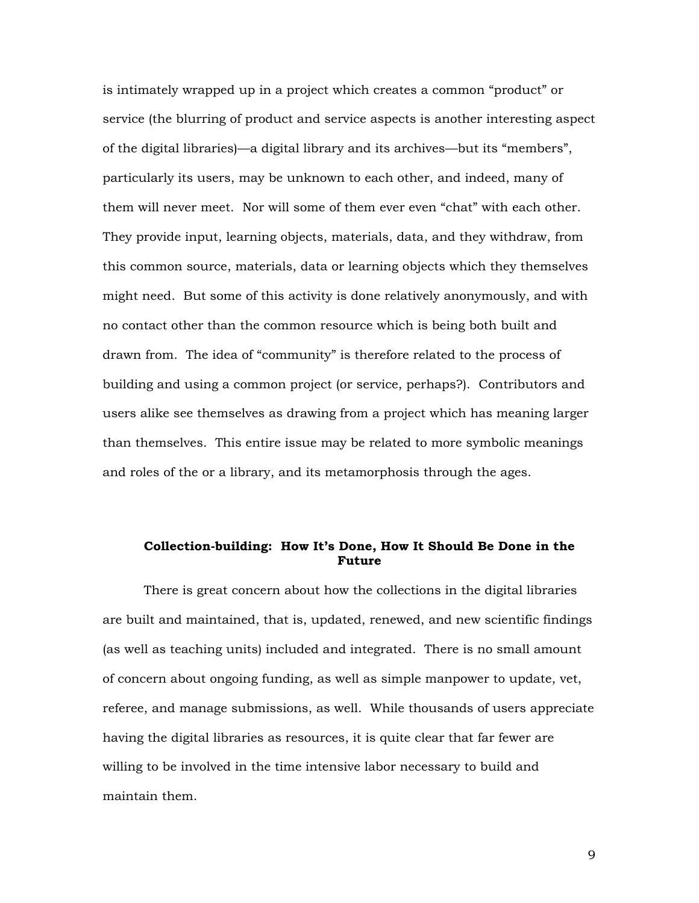is intimately wrapped up in a project which creates a common "product" or service (the blurring of product and service aspects is another interesting aspect of the digital libraries)—a digital library and its archives—but its "members", particularly its users, may be unknown to each other, and indeed, many of them will never meet. Nor will some of them ever even "chat" with each other. They provide input, learning objects, materials, data, and they withdraw, from this common source, materials, data or learning objects which they themselves might need. But some of this activity is done relatively anonymously, and with no contact other than the common resource which is being both built and drawn from. The idea of "community" is therefore related to the process of building and using a common project (or service, perhaps?). Contributors and users alike see themselves as drawing from a project which has meaning larger than themselves. This entire issue may be related to more symbolic meanings and roles of the or a library, and its metamorphosis through the ages.

## **Collection-building: How It's Done, How It Should Be Done in the Future**

 There is great concern about how the collections in the digital libraries are built and maintained, that is, updated, renewed, and new scientific findings (as well as teaching units) included and integrated. There is no small amount of concern about ongoing funding, as well as simple manpower to update, vet, referee, and manage submissions, as well. While thousands of users appreciate having the digital libraries as resources, it is quite clear that far fewer are willing to be involved in the time intensive labor necessary to build and maintain them.

9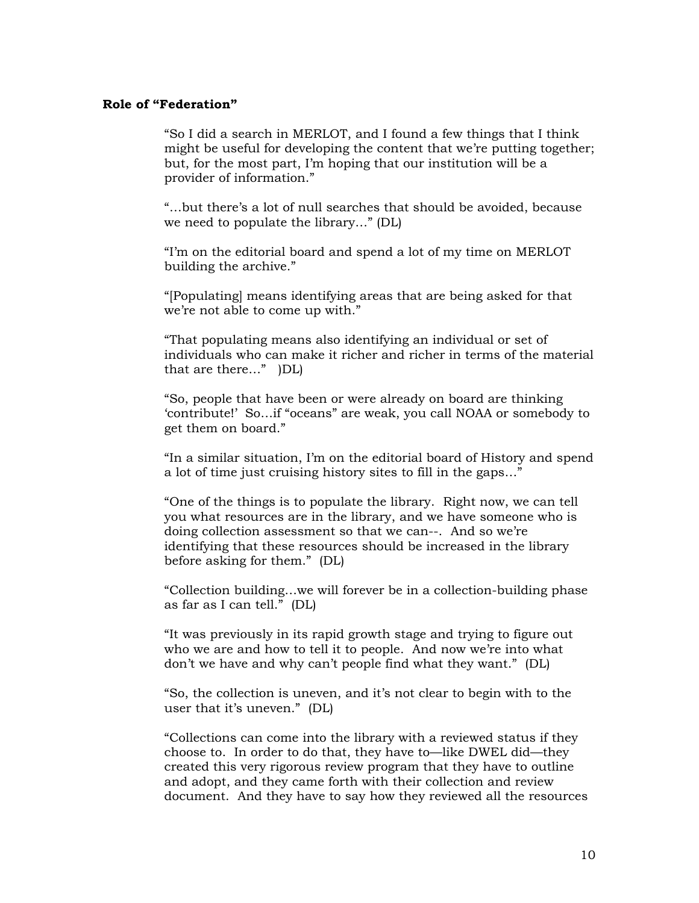### **Role of "Federation"**

"So I did a search in MERLOT, and I found a few things that I think might be useful for developing the content that we're putting together; but, for the most part, I'm hoping that our institution will be a provider of information."

"…but there's a lot of null searches that should be avoided, because we need to populate the library…" (DL)

"I'm on the editorial board and spend a lot of my time on MERLOT building the archive."

"[Populating] means identifying areas that are being asked for that we're not able to come up with."

"That populating means also identifying an individual or set of individuals who can make it richer and richer in terms of the material that are there…" )DL)

"So, people that have been or were already on board are thinking 'contribute!' So…if "oceans" are weak, you call NOAA or somebody to get them on board."

"In a similar situation, I'm on the editorial board of History and spend a lot of time just cruising history sites to fill in the gaps…"

"One of the things is to populate the library. Right now, we can tell you what resources are in the library, and we have someone who is doing collection assessment so that we can--. And so we're identifying that these resources should be increased in the library before asking for them." (DL)

"Collection building…we will forever be in a collection-building phase as far as I can tell." (DL)

"It was previously in its rapid growth stage and trying to figure out who we are and how to tell it to people. And now we're into what don't we have and why can't people find what they want." (DL)

"So, the collection is uneven, and it's not clear to begin with to the user that it's uneven." (DL)

"Collections can come into the library with a reviewed status if they choose to. In order to do that, they have to—like DWEL did—they created this very rigorous review program that they have to outline and adopt, and they came forth with their collection and review document. And they have to say how they reviewed all the resources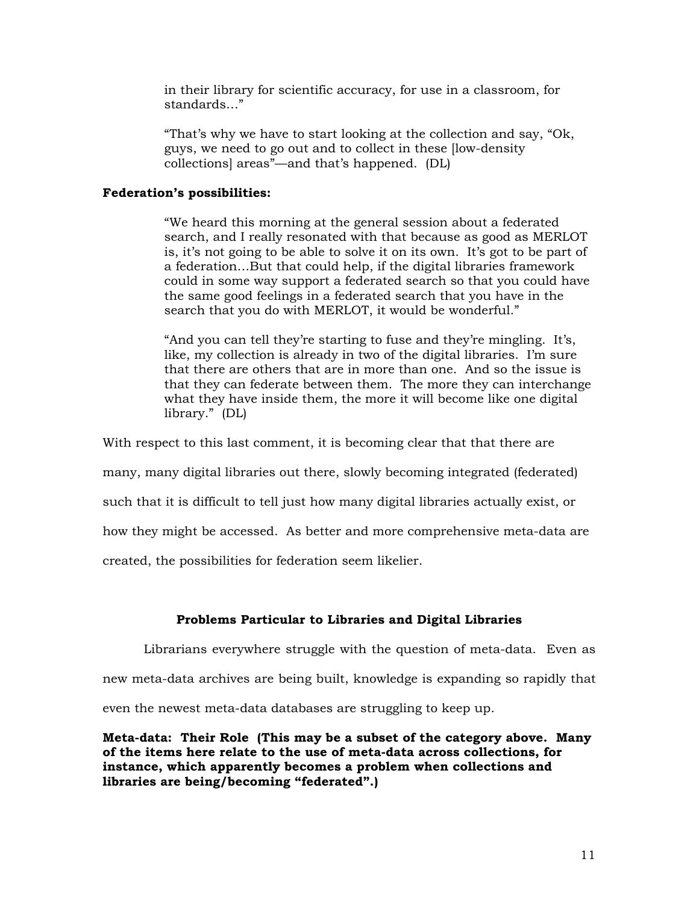in their library for scientific accuracy, for use in a classroom, for standards…"

"That's why we have to start looking at the collection and say, "Ok, guys, we need to go out and to collect in these [low-density collections] areas"—and that's happened. (DL)

#### **Federation's possibilities:**

"We heard this morning at the general session about a federated search, and I really resonated with that because as good as MERLOT is, it's not going to be able to solve it on its own. It's got to be part of a federation…But that could help, if the digital libraries framework could in some way support a federated search so that you could have the same good feelings in a federated search that you have in the search that you do with MERLOT, it would be wonderful."

"And you can tell they're starting to fuse and they're mingling. It's, like, my collection is already in two of the digital libraries. I'm sure that there are others that are in more than one. And so the issue is that they can federate between them. The more they can interchange what they have inside them, the more it will become like one digital library." (DL)

With respect to this last comment, it is becoming clear that that there are

many, many digital libraries out there, slowly becoming integrated (federated)

such that it is difficult to tell just how many digital libraries actually exist, or

how they might be accessed. As better and more comprehensive meta-data are

created, the possibilities for federation seem likelier.

## **Problems Particular to Libraries and Digital Libraries**

Librarians everywhere struggle with the question of meta-data. Even as new meta-data archives are being built, knowledge is expanding so rapidly that even the newest meta-data databases are struggling to keep up.

**Meta-data: Their Role (This may be a subset of the category above. Many of the items here relate to the use of meta-data across collections, for instance, which apparently becomes a problem when collections and libraries are being/becoming "federated".)**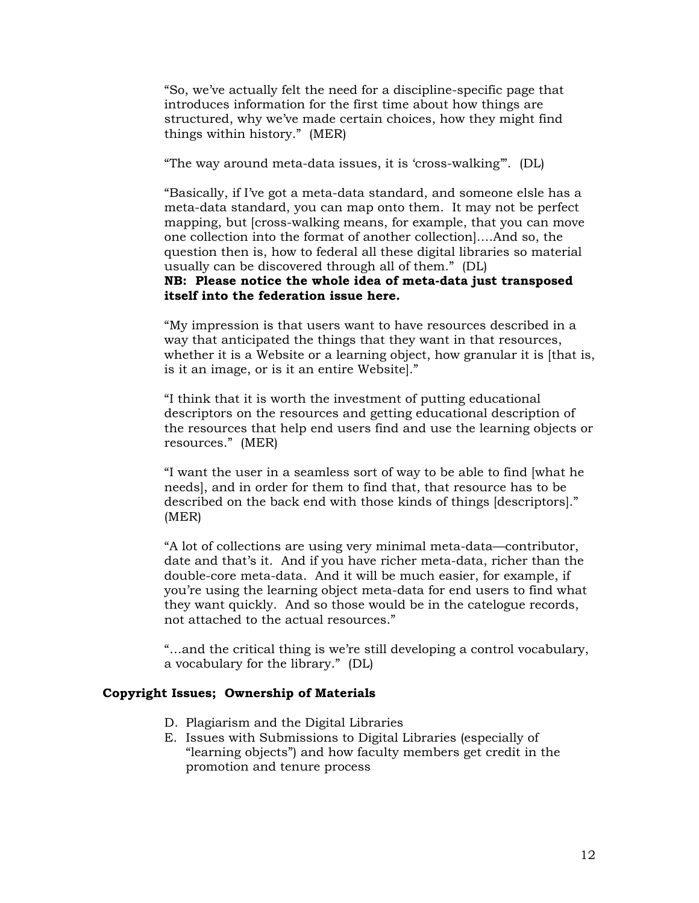"So, we've actually felt the need for a discipline-specific page that introduces information for the first time about how things are structured, why we've made certain choices, how they might find things within history." (MER)

"The way around meta-data issues, it is 'cross-walking'". (DL)

"Basically, if I've got a meta-data standard, and someone elsle has a meta-data standard, you can map onto them. It may not be perfect mapping, but [cross-walking means, for example, that you can move one collection into the format of another collection]….And so, the question then is, how to federal all these digital libraries so material usually can be discovered through all of them." (DL) **NB: Please notice the whole idea of meta-data just transposed itself into the federation issue here.** 

"My impression is that users want to have resources described in a way that anticipated the things that they want in that resources, whether it is a Website or a learning object, how granular it is [that is, is it an image, or is it an entire Website]."

"I think that it is worth the investment of putting educational descriptors on the resources and getting educational description of the resources that help end users find and use the learning objects or resources." (MER)

"I want the user in a seamless sort of way to be able to find [what he needs], and in order for them to find that, that resource has to be described on the back end with those kinds of things [descriptors]." (MER)

"A lot of collections are using very minimal meta-data—contributor, date and that's it. And if you have richer meta-data, richer than the double-core meta-data. And it will be much easier, for example, if you're using the learning object meta-data for end users to find what they want quickly. And so those would be in the catelogue records, not attached to the actual resources."

"…and the critical thing is we're still developing a control vocabulary, a vocabulary for the library." (DL)

# **Copyright Issues; Ownership of Materials**

- D. Plagiarism and the Digital Libraries
- E. Issues with Submissions to Digital Libraries (especially of "learning objects") and how faculty members get credit in the promotion and tenure process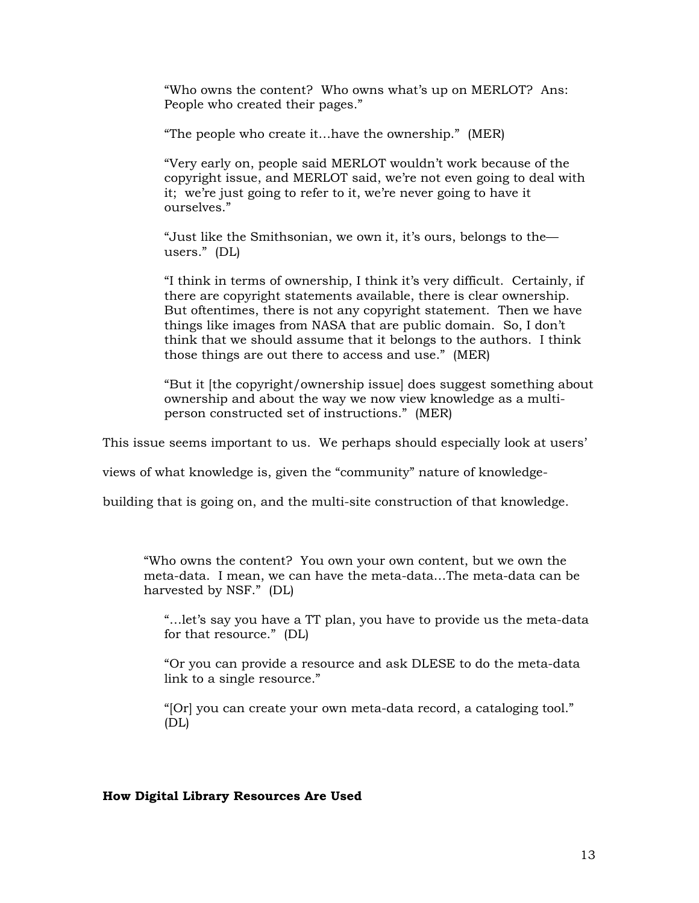"Who owns the content? Who owns what's up on MERLOT? Ans: People who created their pages."

"The people who create it…have the ownership." (MER)

"Very early on, people said MERLOT wouldn't work because of the copyright issue, and MERLOT said, we're not even going to deal with it; we're just going to refer to it, we're never going to have it ourselves."

"Just like the Smithsonian, we own it, it's ours, belongs to the users." (DL)

"I think in terms of ownership, I think it's very difficult. Certainly, if there are copyright statements available, there is clear ownership. But oftentimes, there is not any copyright statement. Then we have things like images from NASA that are public domain. So, I don't think that we should assume that it belongs to the authors. I think those things are out there to access and use." (MER)

"But it [the copyright/ownership issue] does suggest something about ownership and about the way we now view knowledge as a multiperson constructed set of instructions." (MER)

This issue seems important to us. We perhaps should especially look at users'

views of what knowledge is, given the "community" nature of knowledge-

building that is going on, and the multi-site construction of that knowledge.

"Who owns the content? You own your own content, but we own the meta-data. I mean, we can have the meta-data…The meta-data can be harvested by NSF." (DL)

"…let's say you have a TT plan, you have to provide us the meta-data for that resource." (DL)

"Or you can provide a resource and ask DLESE to do the meta-data link to a single resource."

"[Or] you can create your own meta-data record, a cataloging tool." (DL)

### **How Digital Library Resources Are Used**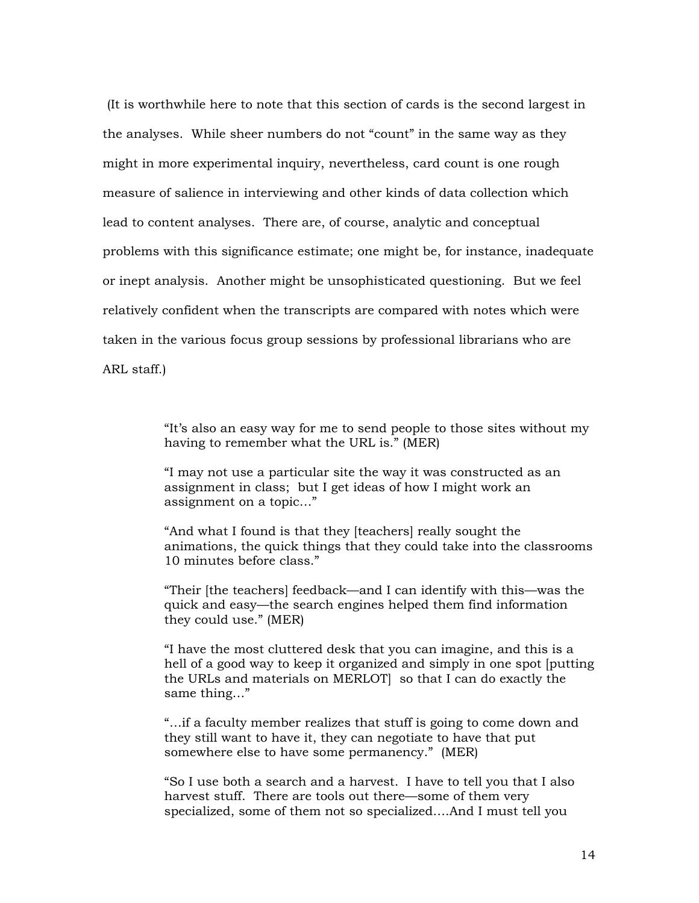(It is worthwhile here to note that this section of cards is the second largest in the analyses. While sheer numbers do not "count" in the same way as they might in more experimental inquiry, nevertheless, card count is one rough measure of salience in interviewing and other kinds of data collection which lead to content analyses. There are, of course, analytic and conceptual problems with this significance estimate; one might be, for instance, inadequate or inept analysis. Another might be unsophisticated questioning. But we feel relatively confident when the transcripts are compared with notes which were taken in the various focus group sessions by professional librarians who are

ARL staff.)

"It's also an easy way for me to send people to those sites without my having to remember what the URL is." (MER)

"I may not use a particular site the way it was constructed as an assignment in class; but I get ideas of how I might work an assignment on a topic…"

"And what I found is that they [teachers] really sought the animations, the quick things that they could take into the classrooms 10 minutes before class."

"Their [the teachers] feedback—and I can identify with this—was the quick and easy—the search engines helped them find information they could use." (MER)

"I have the most cluttered desk that you can imagine, and this is a hell of a good way to keep it organized and simply in one spot [putting the URLs and materials on MERLOT] so that I can do exactly the same thing…"

"…if a faculty member realizes that stuff is going to come down and they still want to have it, they can negotiate to have that put somewhere else to have some permanency." (MER)

"So I use both a search and a harvest. I have to tell you that I also harvest stuff. There are tools out there—some of them very specialized, some of them not so specialized….And I must tell you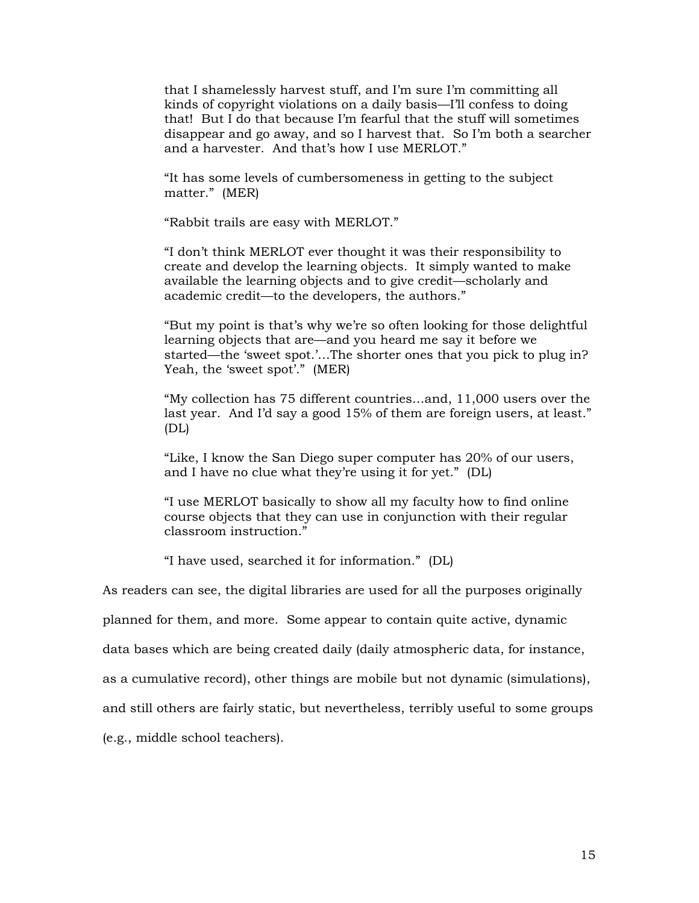that I shamelessly harvest stuff, and I'm sure I'm committing all kinds of copyright violations on a daily basis—I'll confess to doing that! But I do that because I'm fearful that the stuff will sometimes disappear and go away, and so I harvest that. So I'm both a searcher and a harvester. And that's how I use MERLOT."

"It has some levels of cumbersomeness in getting to the subject matter." (MER)

"Rabbit trails are easy with MERLOT."

"I don't think MERLOT ever thought it was their responsibility to create and develop the learning objects. It simply wanted to make available the learning objects and to give credit—scholarly and academic credit—to the developers, the authors."

"But my point is that's why we're so often looking for those delightful learning objects that are—and you heard me say it before we started—the 'sweet spot.'…The shorter ones that you pick to plug in? Yeah, the 'sweet spot'." (MER)

"My collection has 75 different countries…and, 11,000 users over the last year. And I'd say a good 15% of them are foreign users, at least." (DL)

"Like, I know the San Diego super computer has 20% of our users, and I have no clue what they're using it for yet." (DL)

"I use MERLOT basically to show all my faculty how to find online course objects that they can use in conjunction with their regular classroom instruction."

"I have used, searched it for information." (DL)

As readers can see, the digital libraries are used for all the purposes originally

planned for them, and more. Some appear to contain quite active, dynamic

data bases which are being created daily (daily atmospheric data, for instance,

as a cumulative record), other things are mobile but not dynamic (simulations),

and still others are fairly static, but nevertheless, terribly useful to some groups

(e.g., middle school teachers).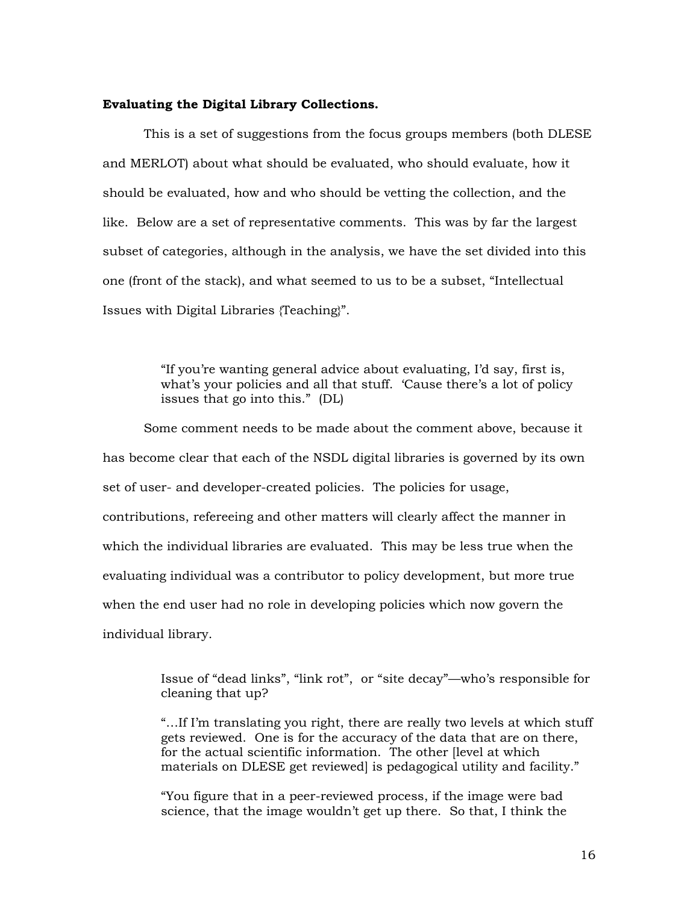#### **Evaluating the Digital Library Collections.**

This is a set of suggestions from the focus groups members (both DLESE and MERLOT) about what should be evaluated, who should evaluate, how it should be evaluated, how and who should be vetting the collection, and the like. Below are a set of representative comments. This was by far the largest subset of categories, although in the analysis, we have the set divided into this one (front of the stack), and what seemed to us to be a subset, "Intellectual Issues with Digital Libraries {Teaching}".

> "If you're wanting general advice about evaluating, I'd say, first is, what's your policies and all that stuff. 'Cause there's a lot of policy issues that go into this." (DL)

Some comment needs to be made about the comment above, because it has become clear that each of the NSDL digital libraries is governed by its own set of user- and developer-created policies. The policies for usage, contributions, refereeing and other matters will clearly affect the manner in which the individual libraries are evaluated. This may be less true when the evaluating individual was a contributor to policy development, but more true when the end user had no role in developing policies which now govern the individual library.

> Issue of "dead links", "link rot", or "site decay"—who's responsible for cleaning that up?

> "…If I'm translating you right, there are really two levels at which stuff gets reviewed. One is for the accuracy of the data that are on there, for the actual scientific information. The other [level at which materials on DLESE get reviewed] is pedagogical utility and facility."

"You figure that in a peer-reviewed process, if the image were bad science, that the image wouldn't get up there. So that, I think the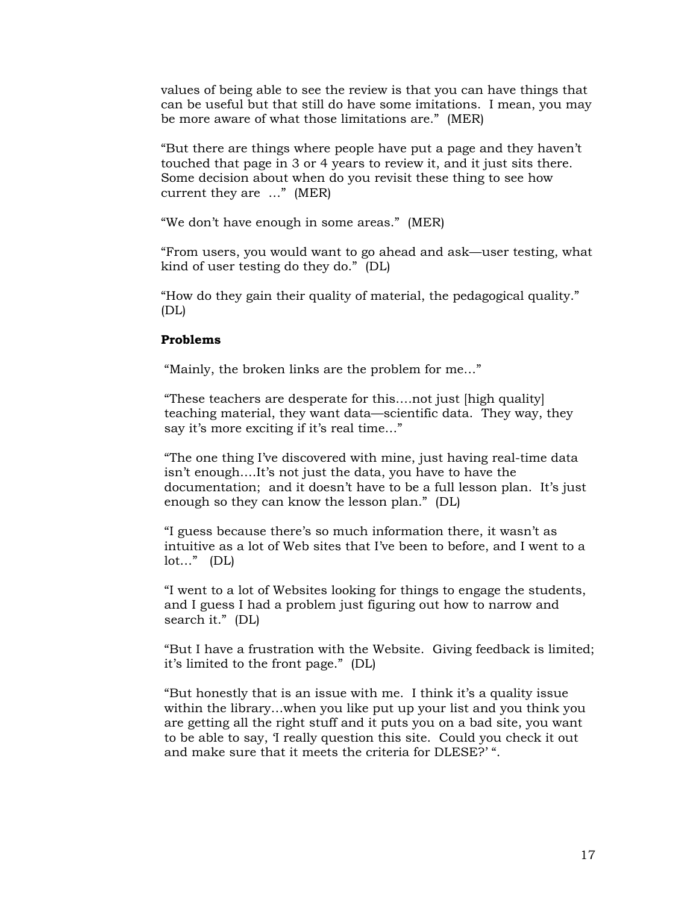values of being able to see the review is that you can have things that can be useful but that still do have some imitations. I mean, you may be more aware of what those limitations are." (MER)

"But there are things where people have put a page and they haven't touched that page in 3 or 4 years to review it, and it just sits there. Some decision about when do you revisit these thing to see how current they are …" (MER)

"We don't have enough in some areas." (MER)

"From users, you would want to go ahead and ask—user testing, what kind of user testing do they do." (DL)

"How do they gain their quality of material, the pedagogical quality." (DL)

## **Problems**

"Mainly, the broken links are the problem for me…"

"These teachers are desperate for this….not just [high quality] teaching material, they want data—scientific data. They way, they say it's more exciting if it's real time…"

"The one thing I've discovered with mine, just having real-time data isn't enough….It's not just the data, you have to have the documentation; and it doesn't have to be a full lesson plan. It's just enough so they can know the lesson plan." (DL)

"I guess because there's so much information there, it wasn't as intuitive as a lot of Web sites that I've been to before, and I went to a  $lot...$ "  $(DL)$ 

"I went to a lot of Websites looking for things to engage the students, and I guess I had a problem just figuring out how to narrow and search it." (DL)

"But I have a frustration with the Website. Giving feedback is limited; it's limited to the front page." (DL)

"But honestly that is an issue with me. I think it's a quality issue within the library…when you like put up your list and you think you are getting all the right stuff and it puts you on a bad site, you want to be able to say, 'I really question this site. Could you check it out and make sure that it meets the criteria for DLESE?' ".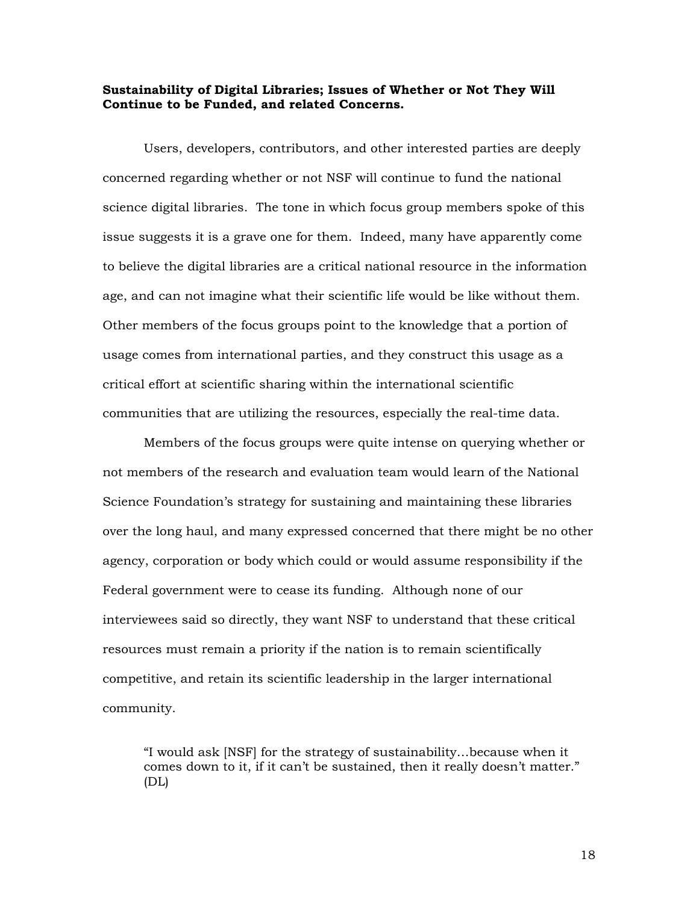## **Sustainability of Digital Libraries; Issues of Whether or Not They Will Continue to be Funded, and related Concerns.**

Users, developers, contributors, and other interested parties are deeply concerned regarding whether or not NSF will continue to fund the national science digital libraries. The tone in which focus group members spoke of this issue suggests it is a grave one for them. Indeed, many have apparently come to believe the digital libraries are a critical national resource in the information age, and can not imagine what their scientific life would be like without them. Other members of the focus groups point to the knowledge that a portion of usage comes from international parties, and they construct this usage as a critical effort at scientific sharing within the international scientific communities that are utilizing the resources, especially the real-time data.

Members of the focus groups were quite intense on querying whether or not members of the research and evaluation team would learn of the National Science Foundation's strategy for sustaining and maintaining these libraries over the long haul, and many expressed concerned that there might be no other agency, corporation or body which could or would assume responsibility if the Federal government were to cease its funding. Although none of our interviewees said so directly, they want NSF to understand that these critical resources must remain a priority if the nation is to remain scientifically competitive, and retain its scientific leadership in the larger international community.

"I would ask [NSF] for the strategy of sustainability…because when it comes down to it, if it can't be sustained, then it really doesn't matter." (DL)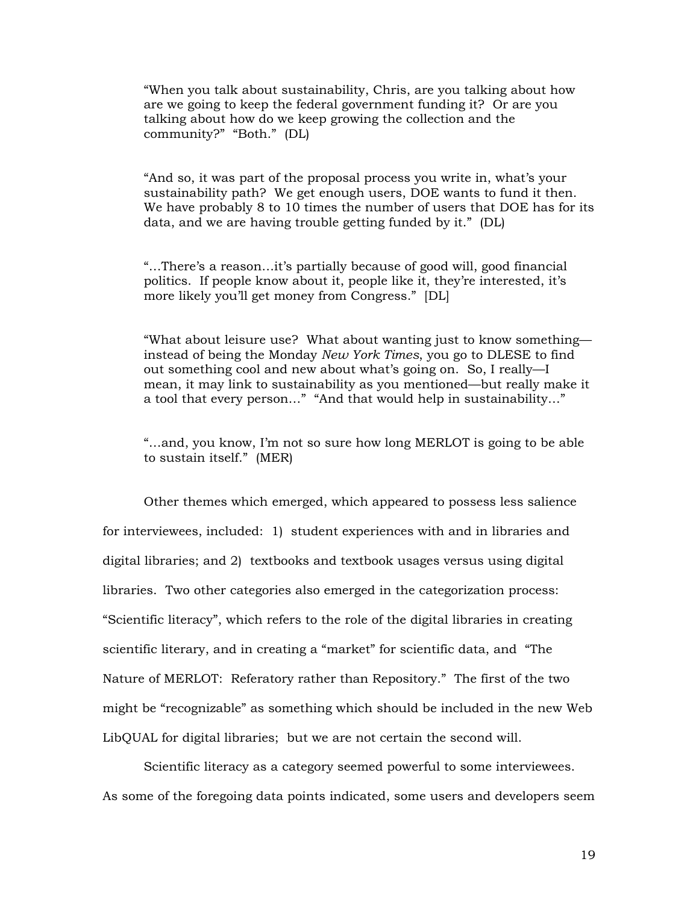"When you talk about sustainability, Chris, are you talking about how are we going to keep the federal government funding it? Or are you talking about how do we keep growing the collection and the community?" "Both." (DL)

"And so, it was part of the proposal process you write in, what's your sustainability path? We get enough users, DOE wants to fund it then. We have probably 8 to 10 times the number of users that DOE has for its data, and we are having trouble getting funded by it." (DL)

"…There's a reason…it's partially because of good will, good financial politics. If people know about it, people like it, they're interested, it's more likely you'll get money from Congress." [DL]

"What about leisure use? What about wanting just to know something instead of being the Monday *New York Times*, you go to DLESE to find out something cool and new about what's going on. So, I really—I mean, it may link to sustainability as you mentioned—but really make it a tool that every person…" "And that would help in sustainability…"

"…and, you know, I'm not so sure how long MERLOT is going to be able to sustain itself." (MER)

Other themes which emerged, which appeared to possess less salience for interviewees, included: 1) student experiences with and in libraries and digital libraries; and 2) textbooks and textbook usages versus using digital libraries. Two other categories also emerged in the categorization process: "Scientific literacy", which refers to the role of the digital libraries in creating scientific literary, and in creating a "market" for scientific data, and "The Nature of MERLOT: Referatory rather than Repository." The first of the two might be "recognizable" as something which should be included in the new Web LibQUAL for digital libraries; but we are not certain the second will.

Scientific literacy as a category seemed powerful to some interviewees. As some of the foregoing data points indicated, some users and developers seem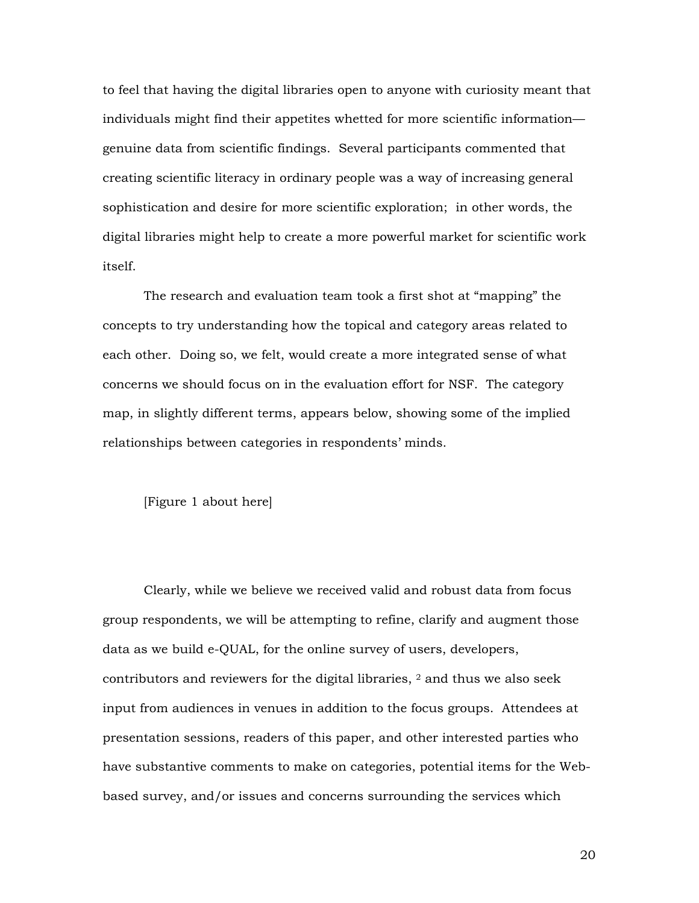to feel that having the digital libraries open to anyone with curiosity meant that individuals might find their appetites whetted for more scientific information genuine data from scientific findings. Several participants commented that creating scientific literacy in ordinary people was a way of increasing general sophistication and desire for more scientific exploration; in other words, the digital libraries might help to create a more powerful market for scientific work itself.

The research and evaluation team took a first shot at "mapping" the concepts to try understanding how the topical and category areas related to each other. Doing so, we felt, would create a more integrated sense of what concerns we should focus on in the evaluation effort for NSF. The category map, in slightly different terms, appears below, showing some of the implied relationships between categories in respondents' minds.

[Figure 1 about here]

Clearly, while we believe we received valid and robust data from focus group respondents, we will be attempting to refine, clarify and augment those data as we build e-QUAL, for the online survey of users, developers, contributors and reviewers for the digital libraries, 2 and thus we also seek input from audiences in venues in addition to the focus groups. Attendees at presentation sessions, readers of this paper, and other interested parties who have substantive comments to make on categories, potential items for the Webbased survey, and/or issues and concerns surrounding the services which

20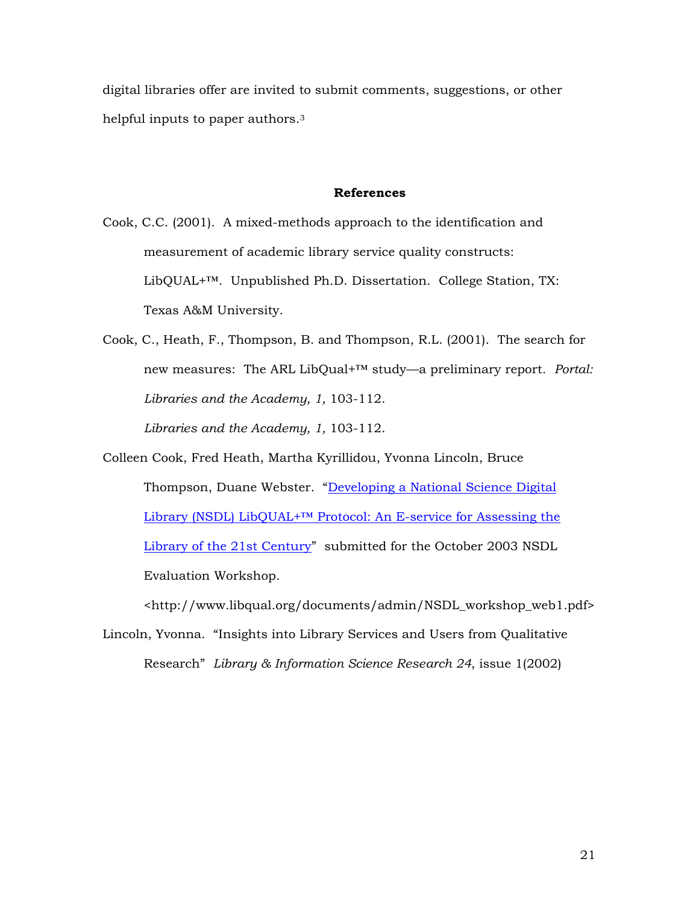digital libraries offer are invited to submit comments, suggestions, or other helpful inputs to paper authors.3

#### **References**

Cook, C.C. (2001). A mixed-methods approach to the identification and measurement of academic library service quality constructs: LibQUAL+™. Unpublished Ph.D. Dissertation. College Station, TX: Texas A&M University.

Cook, C., Heath, F., Thompson, B. and Thompson, R.L. (2001). The search for new measures: The ARL LibQual+™ study—a preliminary report. *Portal: Libraries and the Academy, 1,* 103-112. *Libraries and the Academy, 1,* 103-112.

Colleen Cook, Fred Heath, Martha Kyrillidou, Yvonna Lincoln, Bruce Thompson, Duane Webster. "Developing a National Science Digital Library (NSDL) LibQUAL+™ Protocol: An E-service for Assessing the Library of the 21st Century" submitted for the October 2003 NSDL Evaluation Workshop.

<http://www.libqual.org/documents/admin/NSDL\_workshop\_web1.pdf>

Lincoln, Yvonna. "Insights into Library Services and Users from Qualitative Research" *Library & Information Science Research 24*, issue 1(2002)